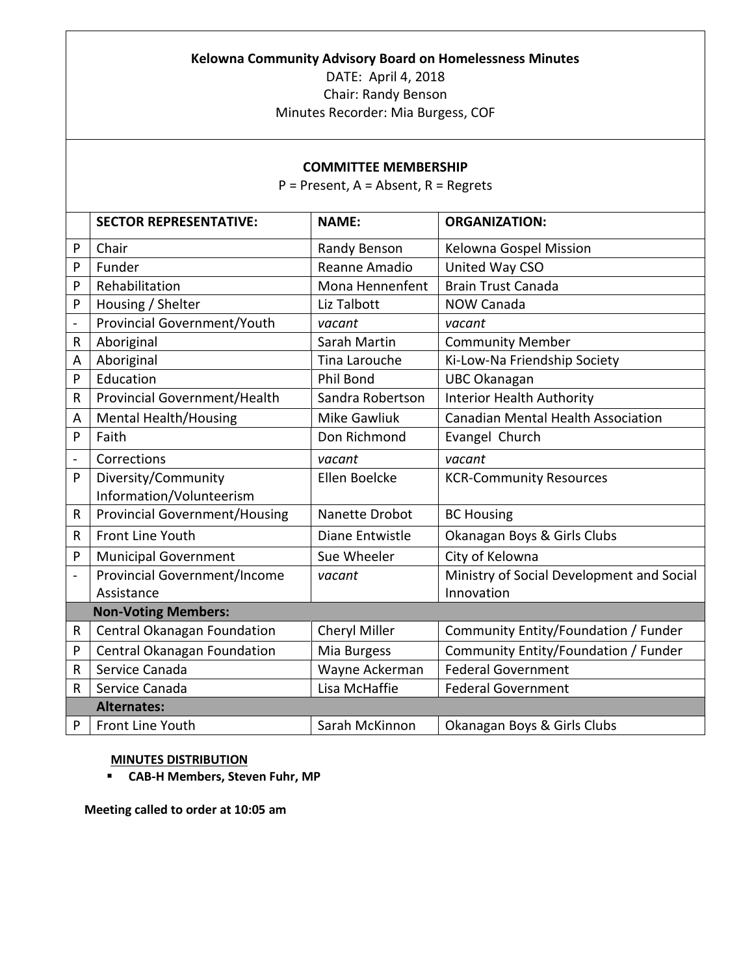## **Kelowna Community Advisory Board on Homelessness Minutes**

DATE: April 4, 2018 Chair: Randy Benson Minutes Recorder: Mia Burgess, COF

## **COMMITTEE MEMBERSHIP**

P = Present, A = Absent, R = Regrets

|                    | <b>SECTOR REPRESENTATIVE:</b>        | <b>NAME:</b>        | <b>ORGANIZATION:</b>                      |  |  |
|--------------------|--------------------------------------|---------------------|-------------------------------------------|--|--|
| P                  | Chair                                | Randy Benson        | Kelowna Gospel Mission                    |  |  |
| P                  | Funder                               | Reanne Amadio       | United Way CSO                            |  |  |
| P                  | Rehabilitation                       | Mona Hennenfent     | <b>Brain Trust Canada</b>                 |  |  |
| P                  | Housing / Shelter                    | Liz Talbott         | <b>NOW Canada</b>                         |  |  |
| $\frac{1}{2}$      | Provincial Government/Youth          | vacant              | vacant                                    |  |  |
| R                  | Aboriginal                           | Sarah Martin        | <b>Community Member</b>                   |  |  |
| A                  | Aboriginal                           | Tina Larouche       | Ki-Low-Na Friendship Society              |  |  |
| P                  | Education                            | Phil Bond           | <b>UBC Okanagan</b>                       |  |  |
| R                  | Provincial Government/Health         | Sandra Robertson    | <b>Interior Health Authority</b>          |  |  |
| A                  | <b>Mental Health/Housing</b>         | <b>Mike Gawliuk</b> | <b>Canadian Mental Health Association</b> |  |  |
| P                  | Faith                                | Don Richmond        | Evangel Church                            |  |  |
| $\frac{1}{2}$      | Corrections                          | vacant              | vacant                                    |  |  |
| P                  | Diversity/Community                  | Ellen Boelcke       | <b>KCR-Community Resources</b>            |  |  |
|                    | Information/Volunteerism             |                     |                                           |  |  |
| $\mathsf{R}$       | <b>Provincial Government/Housing</b> | Nanette Drobot      | <b>BC Housing</b>                         |  |  |
| $\mathsf{R}$       | Front Line Youth                     | Diane Entwistle     | Okanagan Boys & Girls Clubs               |  |  |
| P                  | <b>Municipal Government</b>          | Sue Wheeler         | City of Kelowna                           |  |  |
|                    | <b>Provincial Government/Income</b>  | vacant              | Ministry of Social Development and Social |  |  |
|                    | Assistance                           |                     | Innovation                                |  |  |
|                    | <b>Non-Voting Members:</b>           |                     |                                           |  |  |
| R                  | Central Okanagan Foundation          | Cheryl Miller       | Community Entity/Foundation / Funder      |  |  |
| P                  | Central Okanagan Foundation          | Mia Burgess         | Community Entity/Foundation / Funder      |  |  |
| R                  | Service Canada                       | Wayne Ackerman      | <b>Federal Government</b>                 |  |  |
| R                  | Service Canada                       | Lisa McHaffie       | <b>Federal Government</b>                 |  |  |
| <b>Alternates:</b> |                                      |                     |                                           |  |  |
| P                  | Front Line Youth                     | Sarah McKinnon      | Okanagan Boys & Girls Clubs               |  |  |

## **MINUTES DISTRIBUTION**

**CAB-H Members, Steven Fuhr, MP**

**Meeting called to order at 10:05 am**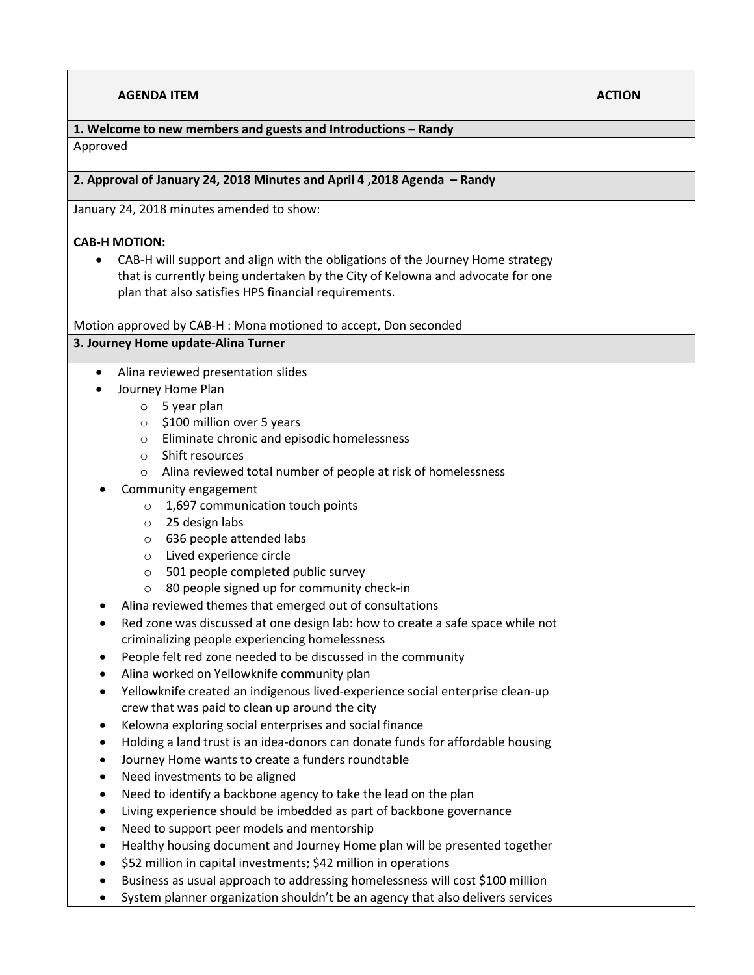| <b>AGENDA ITEM</b>                                                                          | <b>ACTION</b> |
|---------------------------------------------------------------------------------------------|---------------|
| 1. Welcome to new members and guests and Introductions - Randy                              |               |
| Approved                                                                                    |               |
|                                                                                             |               |
| 2. Approval of January 24, 2018 Minutes and April 4, 2018 Agenda - Randy                    |               |
| January 24, 2018 minutes amended to show:                                                   |               |
|                                                                                             |               |
| <b>CAB-H MOTION:</b>                                                                        |               |
| CAB-H will support and align with the obligations of the Journey Home strategy<br>$\bullet$ |               |
| that is currently being undertaken by the City of Kelowna and advocate for one              |               |
| plan that also satisfies HPS financial requirements.                                        |               |
|                                                                                             |               |
| Motion approved by CAB-H : Mona motioned to accept, Don seconded                            |               |
| 3. Journey Home update-Alina Turner                                                         |               |
| Alina reviewed presentation slides<br>$\bullet$                                             |               |
| Journey Home Plan                                                                           |               |
| 5 year plan<br>$\circ$                                                                      |               |
| \$100 million over 5 years<br>$\circ$                                                       |               |
| Eliminate chronic and episodic homelessness<br>$\circ$                                      |               |
| Shift resources<br>$\circ$                                                                  |               |
| Alina reviewed total number of people at risk of homelessness<br>$\circ$                    |               |
| Community engagement                                                                        |               |
| 1,697 communication touch points<br>$\circ$                                                 |               |
| 25 design labs<br>O                                                                         |               |
| 636 people attended labs<br>$\circ$                                                         |               |
| Lived experience circle<br>$\circ$                                                          |               |
| 501 people completed public survey<br>$\circ$                                               |               |
| 80 people signed up for community check-in<br>O                                             |               |
| Alina reviewed themes that emerged out of consultations                                     |               |
| Red zone was discussed at one design lab: how to create a safe space while not              |               |
| criminalizing people experiencing homelessness                                              |               |
| People felt red zone needed to be discussed in the community<br>٠                           |               |
| Alina worked on Yellowknife community plan<br>٠                                             |               |
| Yellowknife created an indigenous lived-experience social enterprise clean-up<br>٠          |               |
| crew that was paid to clean up around the city                                              |               |
| Kelowna exploring social enterprises and social finance<br>$\bullet$                        |               |
| Holding a land trust is an idea-donors can donate funds for affordable housing<br>٠         |               |
| Journey Home wants to create a funders roundtable<br>$\bullet$                              |               |
| Need investments to be aligned<br>$\bullet$                                                 |               |
| Need to identify a backbone agency to take the lead on the plan<br>٠                        |               |
| Living experience should be imbedded as part of backbone governance<br>$\bullet$            |               |
| Need to support peer models and mentorship<br>$\bullet$                                     |               |
| Healthy housing document and Journey Home plan will be presented together                   |               |
| \$52 million in capital investments; \$42 million in operations<br>$\bullet$                |               |
| Business as usual approach to addressing homelessness will cost \$100 million               |               |
| System planner organization shouldn't be an agency that also delivers services              |               |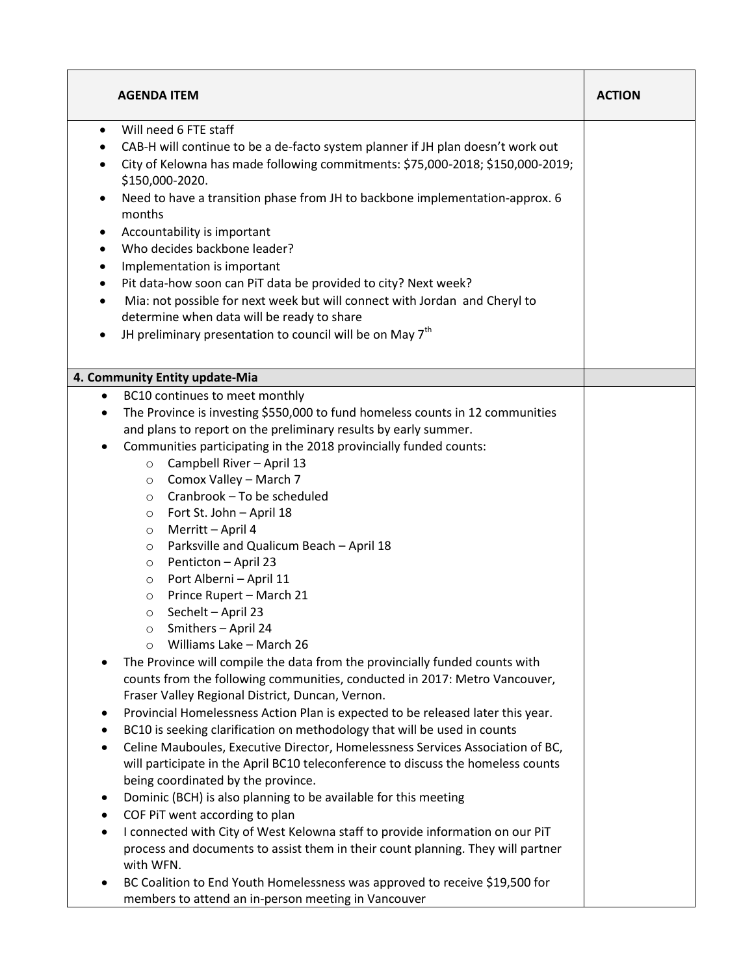| <b>AGENDA ITEM</b>                                                                                                                                                                                                                                                                                                                                                                                                                                                                                                                                                                                                                                                                                                                                                                                                                                                                                                                                                                                                                                                                                                                                                                                                                                                                                                                                                                                                                                                                                                                                                                                                       | <b>ACTION</b> |
|--------------------------------------------------------------------------------------------------------------------------------------------------------------------------------------------------------------------------------------------------------------------------------------------------------------------------------------------------------------------------------------------------------------------------------------------------------------------------------------------------------------------------------------------------------------------------------------------------------------------------------------------------------------------------------------------------------------------------------------------------------------------------------------------------------------------------------------------------------------------------------------------------------------------------------------------------------------------------------------------------------------------------------------------------------------------------------------------------------------------------------------------------------------------------------------------------------------------------------------------------------------------------------------------------------------------------------------------------------------------------------------------------------------------------------------------------------------------------------------------------------------------------------------------------------------------------------------------------------------------------|---------------|
| Will need 6 FTE staff<br>$\bullet$<br>CAB-H will continue to be a de-facto system planner if JH plan doesn't work out<br>City of Kelowna has made following commitments: \$75,000-2018; \$150,000-2019;<br>$\bullet$<br>\$150,000-2020.<br>Need to have a transition phase from JH to backbone implementation-approx. 6<br>$\bullet$<br>months<br>Accountability is important<br>٠<br>Who decides backbone leader?<br>$\bullet$<br>Implementation is important<br>$\bullet$<br>Pit data-how soon can PiT data be provided to city? Next week?<br>$\bullet$<br>Mia: not possible for next week but will connect with Jordan and Cheryl to<br>$\bullet$<br>determine when data will be ready to share<br>JH preliminary presentation to council will be on May 7 <sup>th</sup><br>$\bullet$                                                                                                                                                                                                                                                                                                                                                                                                                                                                                                                                                                                                                                                                                                                                                                                                                                |               |
| 4. Community Entity update-Mia                                                                                                                                                                                                                                                                                                                                                                                                                                                                                                                                                                                                                                                                                                                                                                                                                                                                                                                                                                                                                                                                                                                                                                                                                                                                                                                                                                                                                                                                                                                                                                                           |               |
| The Province is investing \$550,000 to fund homeless counts in 12 communities<br>٠<br>and plans to report on the preliminary results by early summer.<br>Communities participating in the 2018 provincially funded counts:<br>٠<br>Campbell River - April 13<br>$\circ$<br>Comox Valley - March 7<br>$\circ$<br>Cranbrook - To be scheduled<br>$\circ$<br>Fort St. John - April 18<br>$\circ$<br>Merritt - April 4<br>$\circ$<br>Parksville and Qualicum Beach - April 18<br>$\circ$<br>Penticton - April 23<br>$\circ$<br>Port Alberni - April 11<br>$\circ$<br>Prince Rupert - March 21<br>$\circ$<br>Sechelt - April 23<br>$\circ$<br>Smithers - April 24<br>O<br>Williams Lake - March 26<br>$\circ$<br>The Province will compile the data from the provincially funded counts with<br>counts from the following communities, conducted in 2017: Metro Vancouver,<br>Fraser Valley Regional District, Duncan, Vernon.<br>Provincial Homelessness Action Plan is expected to be released later this year.<br>٠<br>BC10 is seeking clarification on methodology that will be used in counts<br>٠<br>Celine Mauboules, Executive Director, Homelessness Services Association of BC,<br>٠<br>will participate in the April BC10 teleconference to discuss the homeless counts<br>being coordinated by the province.<br>Dominic (BCH) is also planning to be available for this meeting<br>٠<br>COF PiT went according to plan<br>٠<br>I connected with City of West Kelowna staff to provide information on our PiT<br>٠<br>process and documents to assist them in their count planning. They will partner<br>with WFN. |               |
| BC Coalition to End Youth Homelessness was approved to receive \$19,500 for<br>members to attend an in-person meeting in Vancouver                                                                                                                                                                                                                                                                                                                                                                                                                                                                                                                                                                                                                                                                                                                                                                                                                                                                                                                                                                                                                                                                                                                                                                                                                                                                                                                                                                                                                                                                                       |               |